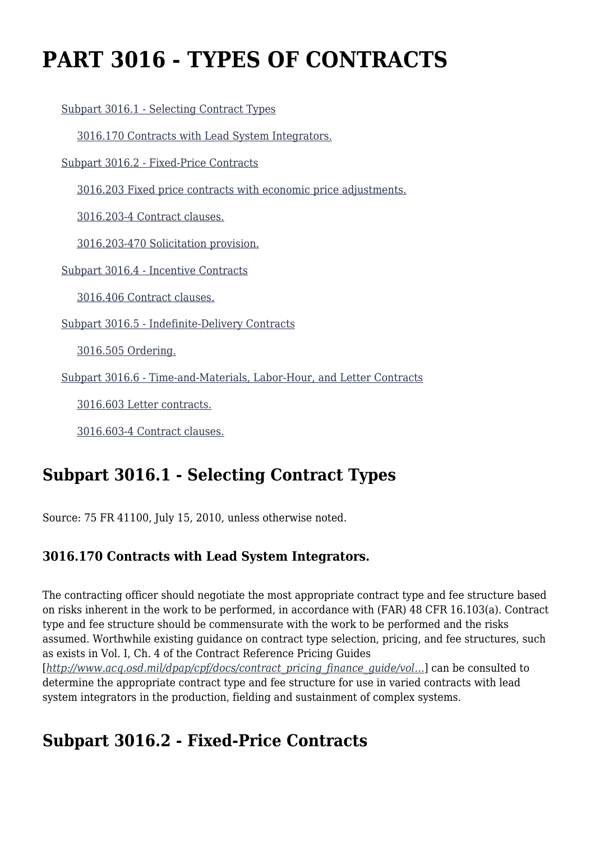# **PART 3016 - TYPES OF CONTRACTS**

[Subpart 3016.1 - Selecting Contract Types](https://origin-www.acquisition.gov/%5Brp:link:hsar-part-3016%5D#Subpart_3016_1_T48_70210171)

[3016.170 Contracts with Lead System Integrators.](https://origin-www.acquisition.gov/%5Brp:link:hsar-part-3016%5D#Section_3016_170_T48_7021017111)

[Subpart 3016.2 - Fixed-Price Contracts](https://origin-www.acquisition.gov/%5Brp:link:hsar-part-3016%5D#Subpart_3016_2_T48_70210172)

[3016.203 Fixed price contracts with economic price adjustments.](https://origin-www.acquisition.gov/%5Brp:link:hsar-part-3016%5D#Section_3016_203_T48_7021017211)

[3016.203-4 Contract clauses.](https://origin-www.acquisition.gov/%5Brp:link:hsar-part-3016%5D#Section_3016_203_4_T48_7021017212)

[3016.203-470 Solicitation provision.](https://origin-www.acquisition.gov/%5Brp:link:hsar-part-3016%5D#Section_3016_203_470_T48_7021017213)

[Subpart 3016.4 - Incentive Contracts](https://origin-www.acquisition.gov/%5Brp:link:hsar-part-3016%5D#Subpart_3016_4_T48_70210173)

[3016.406 Contract clauses.](https://origin-www.acquisition.gov/%5Brp:link:hsar-part-3016%5D#Section_3016_406_T48_7021017311)

[Subpart 3016.5 - Indefinite-Delivery Contracts](https://origin-www.acquisition.gov/%5Brp:link:hsar-part-3016%5D#Subpart_3016_5_T48_70210174)

[3016.505 Ordering.](https://origin-www.acquisition.gov/%5Brp:link:hsar-part-3016%5D#Section_3016_505_T48_7021017411)

[Subpart 3016.6 - Time-and-Materials, Labor-Hour, and Letter Contracts](https://origin-www.acquisition.gov/%5Brp:link:hsar-part-3016%5D#Subpart_3016_6_T48_70210175)

[3016.603 Letter contracts.](https://origin-www.acquisition.gov/%5Brp:link:hsar-part-3016%5D#Section_3016_603_T48_7021017511)

[3016.603-4 Contract clauses.](https://origin-www.acquisition.gov/%5Brp:link:hsar-part-3016%5D#Section_3016_603_4_T48_7021017512)

# **Subpart 3016.1 - Selecting Contract Types**

Source: 75 FR 41100, July 15, 2010, unless otherwise noted.

### **3016.170 Contracts with Lead System Integrators.**

The contracting officer should negotiate the most appropriate contract type and fee structure based on risks inherent in the work to be performed, in accordance with (FAR) 48 CFR 16.103(a). Contract type and fee structure should be commensurate with the work to be performed and the risks assumed. Worthwhile existing guidance on contract type selection, pricing, and fee structures, such as exists in Vol. I, Ch. 4 of the Contract Reference Pricing Guides [*[http://www.acq.osd.mil/dpap/cpf/docs/contract\\_pricing\\_finance\\_guide/vol…](http://www.acq.osd.mil/dpap/cpf/docs/contract_pricing_finance_guide/vol4_ch1.pdf)*] can be consulted to determine the appropriate contract type and fee structure for use in varied contracts with lead system integrators in the production, fielding and sustainment of complex systems.

### **Subpart 3016.2 - Fixed-Price Contracts**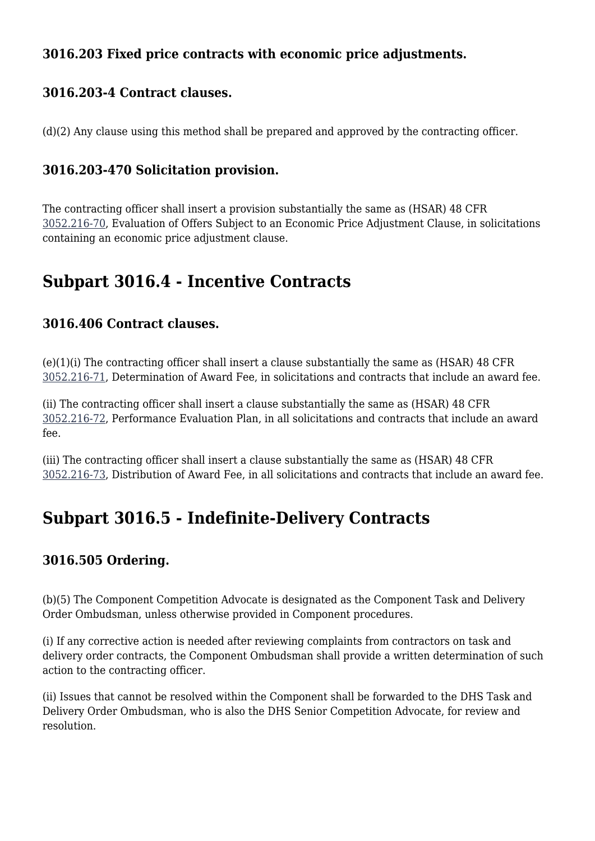### **3016.203 Fixed price contracts with economic price adjustments.**

#### **3016.203-4 Contract clauses.**

(d)(2) Any clause using this method shall be prepared and approved by the contracting officer.

#### **3016.203-470 Solicitation provision.**

The contracting officer shall insert a provision substantially the same as (HSAR) 48 CFR [3052.216-70,](https://origin-www.acquisition.gov/%5Brp:link:hsar-part-3052%5D#Section_3052_216_70_T48_70215512115) Evaluation of Offers Subject to an Economic Price Adjustment Clause, in solicitations containing an economic price adjustment clause.

### **Subpart 3016.4 - Incentive Contracts**

#### **3016.406 Contract clauses.**

(e)(1)(i) The contracting officer shall insert a clause substantially the same as (HSAR) 48 CFR [3052.216-71,](https://origin-www.acquisition.gov/%5Brp:link:hsar-part-3052%5D#Section_3052_216_71_T48_70215512116) Determination of Award Fee, in solicitations and contracts that include an award fee.

(ii) The contracting officer shall insert a clause substantially the same as (HSAR) 48 CFR [3052.216-72,](https://origin-www.acquisition.gov/%5Brp:link:hsar-part-3052%5D#Section_3052_216_72_T48_70215512117) Performance Evaluation Plan, in all solicitations and contracts that include an award fee.

(iii) The contracting officer shall insert a clause substantially the same as (HSAR) 48 CFR [3052.216-73,](https://origin-www.acquisition.gov/%5Brp:link:hsar-part-3052%5D#Section_3052_216_73_T48_70215512118) Distribution of Award Fee, in all solicitations and contracts that include an award fee.

### **Subpart 3016.5 - Indefinite-Delivery Contracts**

### **3016.505 Ordering.**

(b)(5) The Component Competition Advocate is designated as the Component Task and Delivery Order Ombudsman, unless otherwise provided in Component procedures.

(i) If any corrective action is needed after reviewing complaints from contractors on task and delivery order contracts, the Component Ombudsman shall provide a written determination of such action to the contracting officer.

(ii) Issues that cannot be resolved within the Component shall be forwarded to the DHS Task and Delivery Order Ombudsman, who is also the DHS Senior Competition Advocate, for review and resolution.